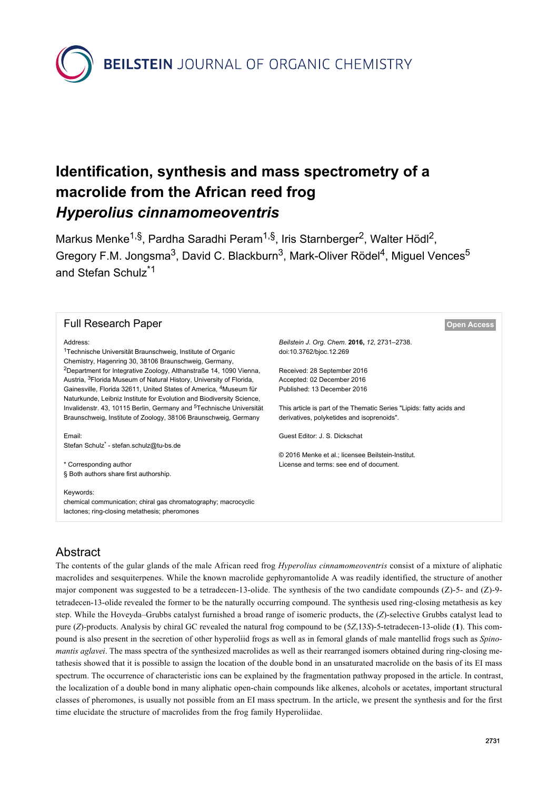**BEILSTEIN** JOURNAL OF ORGANIC CHEMISTRY

# **Identification, synthesis and mass spectrometry of a macrolide from the African reed frog** *Hyperolius cinnamomeoventris*

Markus Menke<sup>1,§</sup>, Pardha Saradhi Peram<sup>1,§</sup>, Iris Starnberger<sup>2</sup>, Walter Hödl<sup>2</sup>, Gregory F.M. Jongsma<sup>3</sup>, David C. Blackburn<sup>3</sup>, Mark-Oliver Rödel<sup>4</sup>, Miguel Vences<sup>5</sup> and Stefan Schulz\*1

| <b>Full Research Paper</b>                                                                                                                             | <b>Open Access</b>                                                   |
|--------------------------------------------------------------------------------------------------------------------------------------------------------|----------------------------------------------------------------------|
| Address:                                                                                                                                               | Beilstein J. Org. Chem. 2016, 12, 2731-2738.                         |
| <sup>1</sup> Technische Universität Braunschweig, Institute of Organic<br>Chemistry, Hagenring 30, 38106 Braunschweig, Germany,                        | doi:10.3762/bjoc.12.269                                              |
| <sup>2</sup> Department for Integrative Zoology, Althanstraße 14, 1090 Vienna,                                                                         | Received: 28 September 2016                                          |
| Austria, <sup>3</sup> Florida Museum of Natural History, University of Florida,                                                                        | Accepted: 02 December 2016                                           |
| Gainesville, Florida 32611, United States of America, <sup>4</sup> Museum für<br>Naturkunde, Leibniz Institute for Evolution and Biodiversity Science, | Published: 13 December 2016                                          |
| Invalidenstr. 43, 10115 Berlin, Germany and <sup>5</sup> Technische Universität                                                                        | This article is part of the Thematic Series "Lipids: fatty acids and |
| Braunschweig, Institute of Zoology, 38106 Braunschweig, Germany                                                                                        | derivatives, polyketides and isoprenoids".                           |
| Email:                                                                                                                                                 | Guest Editor: J. S. Dickschat                                        |
| Stefan Schulz <sup>*</sup> - stefan.schulz@tu-bs.de                                                                                                    |                                                                      |
|                                                                                                                                                        | © 2016 Menke et al.: licensee Beilstein-Institut.                    |
| * Corresponding author                                                                                                                                 | License and terms: see end of document.                              |
| § Both authors share first authorship.                                                                                                                 |                                                                      |
| Keywords:                                                                                                                                              |                                                                      |
| chemical communication; chiral gas chromatography; macrocyclic<br>lactones; ring-closing metathesis; pheromones                                        |                                                                      |

# Abstract

The contents of the gular glands of the male African reed frog *Hyperolius cinnamomeoventris* consist of a mixture of aliphatic macrolides and sesquiterpenes. While the known macrolide gephyromantolide A was readily identified, the structure of another major component was suggested to be a tetradecen-13-olide. The synthesis of the two candidate compounds (Z)-5- and (Z)-9 tetradecen-13-olide revealed the former to be the naturally occurring compound. The synthesis used ring-closing metathesis as key step. While the Hoveyda–Grubbs catalyst furnished a broad range of isomeric products, the (*Z*)-selective Grubbs catalyst lead to pure (*Z*)-products. Analysis by chiral GC revealed the natural frog compound to be (5*Z*,13*S*)-5-tetradecen-13-olide (**1**). This compound is also present in the secretion of other hyperoliid frogs as well as in femoral glands of male mantellid frogs such as *Spinomantis aglavei*. The mass spectra of the synthesized macrolides as well as their rearranged isomers obtained during ring-closing metathesis showed that it is possible to assign the location of the double bond in an unsaturated macrolide on the basis of its EI mass spectrum. The occurrence of characteristic ions can be explained by the fragmentation pathway proposed in the article. In contrast, the localization of a double bond in many aliphatic open-chain compounds like alkenes, alcohols or acetates, important structural classes of pheromones, is usually not possible from an EI mass spectrum. In the article, we present the synthesis and for the first time elucidate the structure of macrolides from the frog family Hyperoliidae.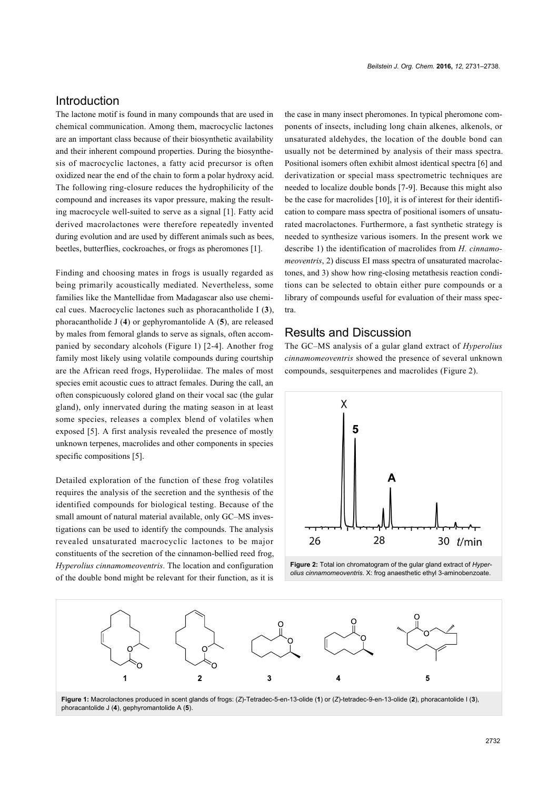#### **Introduction**

The lactone motif is found in many compounds that are used in chemical communication. Among them, macrocyclic lactones are an important class because of their biosynthetic availability and their inherent compound properties. During the biosynthesis of macrocyclic lactones, a fatty acid precursor is often oxidized near the end of the chain to form a polar hydroxy acid. The following ring-closure reduces the hydrophilicity of the compound and increases its vapor pressure, making the resulting macrocycle well-suited to serve as a signal [\[1\]](#page-6-0). Fatty acid derived macrolactones were therefore repeatedly invented during evolution and are used by different animals such as bees, beetles, butterflies, cockroaches, or frogs as pheromones [\[1\].](#page-6-0)

Finding and choosing mates in frogs is usually regarded as being primarily acoustically mediated. Nevertheless, some families like the Mantellidae from Madagascar also use chemical cues. Macrocyclic lactones such as phoracantholide I (**3**), phoracantholide J (**4**) or gephyromantolide A (**5**), are released by males from femoral glands to serve as signals, often accompanied by secondary alcohols [\(Figure 1](#page-1-0)) [\[2-4\]](#page-6-1). Another frog family most likely using volatile compounds during courtship are the African reed frogs, Hyperoliidae. The males of most species emit acoustic cues to attract females. During the call, an often conspicuously colored gland on their vocal sac (the gular gland), only innervated during the mating season in at least some species, releases a complex blend of volatiles when exposed [\[5\]](#page-6-2). A first analysis revealed the presence of mostly unknown terpenes, macrolides and other components in species specific compositions [\[5\].](#page-6-2)

Detailed exploration of the function of these frog volatiles requires the analysis of the secretion and the synthesis of the identified compounds for biological testing. Because of the small amount of natural material available, only GC–MS investigations can be used to identify the compounds. The analysis revealed unsaturated macrocyclic lactones to be major constituents of the secretion of the cinnamon-bellied reed frog, *Hyperolius cinnamomeoventris*. The location and configuration of the double bond might be relevant for their function, as it is

the case in many insect pheromones. In typical pheromone components of insects, including long chain alkenes, alkenols, or unsaturated aldehydes, the location of the double bond can usually not be determined by analysis of their mass spectra. Positional isomers often exhibit almost identical spectra [\[6\]](#page-6-3) and derivatization or special mass spectrometric techniques are needed to localize double bonds [\[7-9\]](#page-7-0). Because this might also be the case for macrolides [\[10\],](#page-7-1) it is of interest for their identification to compare mass spectra of positional isomers of unsaturated macrolactones. Furthermore, a fast synthetic strategy is needed to synthesize various isomers. In the present work we describe 1) the identification of macrolides from *H. cinnamomeoventris*, 2) discuss EI mass spectra of unsaturated macrolactones, and 3) show how ring-closing metathesis reaction conditions can be selected to obtain either pure compounds or a library of compounds useful for evaluation of their mass spectra.

### Results and Discussion

The GC–MS analysis of a gular gland extract of *Hyperolius cinnamomeoventris* showed the presence of several unknown compounds, sesquiterpenes and macrolides ([Figure 2](#page-1-1)).

<span id="page-1-1"></span>

**Figure 2:** Total ion chromatogram of the gular gland extract of *Hyperolius cinnamomeoventris*. X: frog anaesthetic ethyl 3-aminobenzoate.

<span id="page-1-0"></span>

**Figure 1:** Macrolactones produced in scent glands of frogs: (*Z*)-Tetradec-5-en-13-olide (**1**) or (*Z*)-tetradec-9-en-13-olide (**2**), phoracantolide I (**3**), phoracantolide J (**4**), gephyromantolide A (**5**).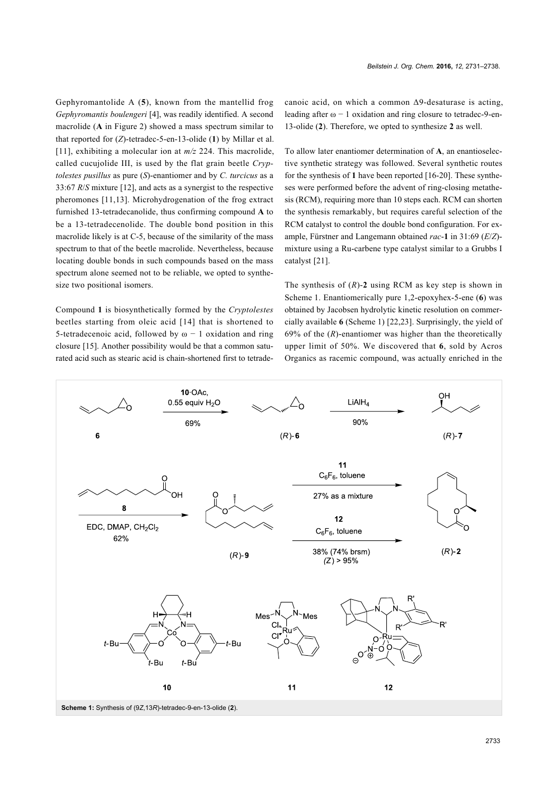Gephyromantolide A (**5**), known from the mantellid frog *Gephyromantis boulengeri* [\[4\],](#page-6-4) was readily identified. A second macrolide (**A** in [Figure 2](#page-1-1)) showed a mass spectrum similar to that reported for (*Z*)-tetradec-5-en-13-olide (**1**) by Millar et al. [\[11\]](#page-7-2), exhibiting a molecular ion at *m/z* 224. This macrolide, called cucujolide III, is used by the flat grain beetle *Cryptolestes pusillus* as pure (*S*)-enantiomer and by *C. turcicus* as a 33:67 *R*/*S* mixture [\[12\]](#page-7-3), and acts as a synergist to the respective pheromones [\[11,13\].](#page-7-2) Microhydrogenation of the frog extract furnished 13-tetradecanolide, thus confirming compound **A** to be a 13-tetradecenolide. The double bond position in this macrolide likely is at C-5, because of the similarity of the mass spectrum to that of the beetle macrolide. Nevertheless, because locating double bonds in such compounds based on the mass spectrum alone seemed not to be reliable, we opted to synthesize two positional isomers.

Compound **1** is biosynthetically formed by the *Cryptolestes* beetles starting from oleic acid [\[14\]](#page-7-4) that is shortened to 5-tetradecenoic acid, followed by  $\omega$  – 1 oxidation and ring closure [\[15\]](#page-7-5). Another possibility would be that a common saturated acid such as stearic acid is chain-shortened first to tetrade*Beilstein J. Org. Chem.* **2016,** *12,* 2731–2738.

canoic acid, on which a common Δ9-desaturase is acting, leading after  $\omega$  – 1 oxidation and ring closure to tetradec-9-en-13-olide (**2**). Therefore, we opted to synthesize **2** as well.

To allow later enantiomer determination of **A**, an enantioselective synthetic strategy was followed. Several synthetic routes for the synthesis of **1** have been reported [\[16-20\]](#page-7-6). These syntheses were performed before the advent of ring-closing metathesis (RCM), requiring more than 10 steps each. RCM can shorten the synthesis remarkably, but requires careful selection of the RCM catalyst to control the double bond configuration. For example, Fürstner and Langemann obtained *rac*-**1** in 31:69 (*E*/*Z*) mixture using a Ru-carbene type catalyst similar to a Grubbs I catalyst [\[21\].](#page-7-7)

The synthesis of (*R*)-**2** using RCM as key step is shown in [Scheme 1.](#page-2-0) Enantiomerically pure 1,2-epoxyhex-5-ene (**6**) was obtained by Jacobsen hydrolytic kinetic resolution on commercially available **6** ([Scheme 1](#page-2-0)) [\[22,23\]](#page-7-8). Surprisingly, the yield of 69% of the (*R*)-enantiomer was higher than the theoretically upper limit of 50%. We discovered that **6**, sold by Acros Organics as racemic compound, was actually enriched in the

<span id="page-2-0"></span>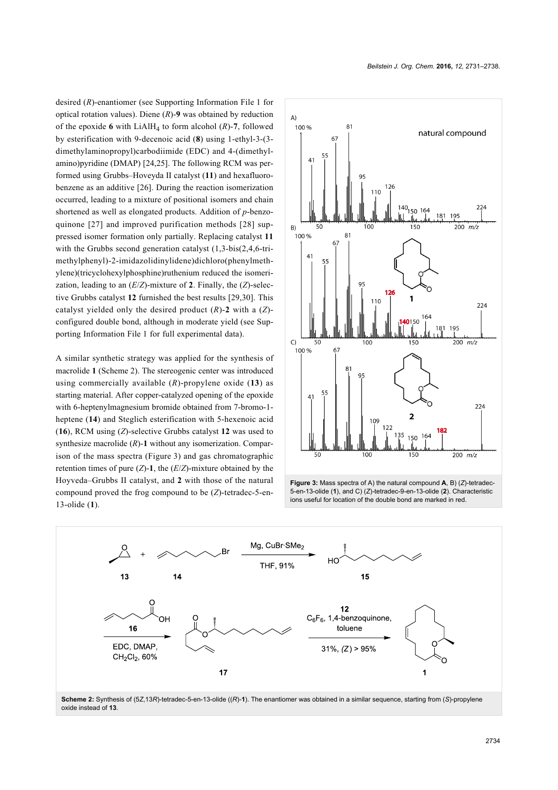desired (*R*)-enantiomer (see [Supporting Information File 1](#page-6-5) for optical rotation values). Diene (*R*)-**9** was obtained by reduction of the epoxide 6 with LiAlH<sub>4</sub> to form alcohol  $(R)$ -7, followed by esterification with 9-decenoic acid (**8**) using 1-ethyl-3-(3 dimethylaminopropyl)carbodiimide (EDC) and 4-(dimethylamino)pyridine (DMAP) [\[24,25\].](#page-7-9) The following RCM was performed using Grubbs–Hoveyda II catalyst (**11**) and hexafluorobenzene as an additive [\[26\]](#page-7-10). During the reaction isomerization occurred, leading to a mixture of positional isomers and chain shortened as well as elongated products. Addition of *p*-benzoquinone [\[27\]](#page-7-11) and improved purification methods [\[28\]](#page-7-12) suppressed isomer formation only partially. Replacing catalyst **11** with the Grubbs second generation catalyst (1,3-bis(2,4,6-trimethylphenyl)-2-imidazolidinylidene)dichloro(phenylmethylene)(tricyclohexylphosphine)ruthenium reduced the isomerization, leading to an (*E*/*Z*)-mixture of **2**. Finally, the (*Z*)-selective Grubbs catalyst **12** furnished the best results [\[29,30\]](#page-7-13). This catalyst yielded only the desired product (*R*)-**2** with a (*Z*) configured double bond, although in moderate yield (see [Sup](#page-6-5)[porting Information File 1](#page-6-5) for full experimental data).

A similar synthetic strategy was applied for the synthesis of macrolide **1** [\(Scheme 2\)](#page-3-0). The stereogenic center was introduced using commercially available (*R*)-propylene oxide (**13**) as starting material. After copper-catalyzed opening of the epoxide with 6-heptenylmagnesium bromide obtained from 7-bromo-1 heptene (**14**) and Steglich esterification with 5-hexenoic acid (**16**), RCM using (*Z*)-selective Grubbs catalyst **12** was used to synthesize macrolide (*R*)-**1** without any isomerization. Comparison of the mass spectra ([Figure 3\)](#page-3-1) and gas chromatographic retention times of pure  $(Z)$ -1, the  $(E/Z)$ -mixture obtained by the Hoyveda–Grubbs II catalyst, and **2** with those of the natural compound proved the frog compound to be (*Z*)-tetradec-5-en-13-olide (**1**).

<span id="page-3-1"></span>

**Figure 3:** Mass spectra of A) the natural compound **A**, B) (*Z*)-tetradec-5-en-13-olide (**1**), and C) (*Z*)*-*tetradec-9-en-13-olide (**2**). Characteristic ions useful for location of the double bond are marked in red.

<span id="page-3-0"></span>

oxide instead of **13**.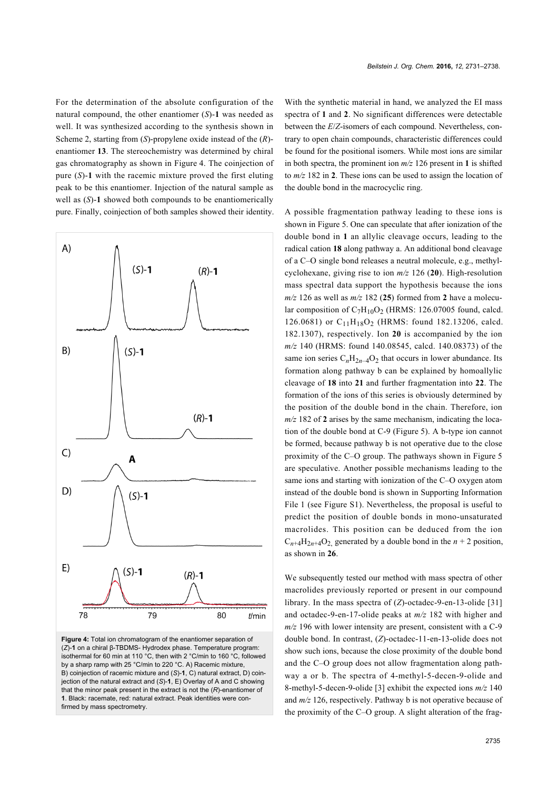For the determination of the absolute configuration of the natural compound, the other enantiomer (*S*)-**1** was needed as well. It was synthesized according to the synthesis shown in [Scheme 2](#page-3-0), starting from (*S*)-propylene oxide instead of the (*R*) enantiomer **13**. The stereochemistry was determined by chiral gas chromatography as shown in [Figure 4](#page-4-0). The coinjection of pure (*S*)-**1** with the racemic mixture proved the first eluting peak to be this enantiomer. Injection of the natural sample as well as (*S*)-**1** showed both compounds to be enantiomerically pure. Finally, coinjection of both samples showed their identity.

<span id="page-4-0"></span>

**Figure 4:** Total ion chromatogram of the enantiomer separation of (*Z*)-**1** on a chiral β-TBDMS- Hydrodex phase. Temperature program: isothermal for 60 min at 110 °C, then with 2 °C/min to 160 °C, followed by a sharp ramp with 25 °C/min to 220 °C. A) Racemic mixture, B) coinjection of racemic mixture and (*S*)-**1**, C) natural extract, D) coinjection of the natural extract and (*S*)-**1**, E) Overlay of A and C showing that the minor peak present in the extract is not the (*R*)-enantiomer of **1**. Black: racemate, red: natural extract. Peak identities were confirmed by mass spectrometry.

With the synthetic material in hand, we analyzed the EI mass spectra of **1** and **2**. No significant differences were detectable between the *E*/*Z*-isomers of each compound. Nevertheless, contrary to open chain compounds, characteristic differences could be found for the positional isomers. While most ions are similar in both spectra, the prominent ion *m/z* 126 present in **1** is shifted to *m/z* 182 in **2**. These ions can be used to assign the location of the double bond in the macrocyclic ring.

A possible fragmentation pathway leading to these ions is shown in [Figure 5](#page-5-0). One can speculate that after ionization of the double bond in **1** an allylic cleavage occurs, leading to the radical cation **18** along pathway a. An additional bond cleavage of a C–O single bond releases a neutral molecule, e.g., methylcyclohexane, giving rise to ion *m/z* 126 (**20**). High-resolution mass spectral data support the hypothesis because the ions  $m/z$  126 as well as  $m/z$  182 (25) formed from 2 have a molecular composition of  $C_7H_{10}O_2$  (HRMS: 126.07005 found, calcd. 126.0681) or C<sub>11</sub>H<sub>18</sub>O<sub>2</sub> (HRMS: found 182.13206, calcd. 182.1307), respectively. Ion **20** is accompanied by the ion *m/z* 140 (HRMS: found 140.08545, calcd. 140.08373) of the same ion series  $C_nH_{2n-4}O_2$  that occurs in lower abundance. Its formation along pathway b can be explained by homoallylic cleavage of **18** into **21** and further fragmentation into **22**. The formation of the ions of this series is obviously determined by the position of the double bond in the chain. Therefore, ion  $m/z$  182 of 2 arises by the same mechanism, indicating the location of the double bond at C-9 [\(Figure 5](#page-5-0)). A b-type ion cannot be formed, because pathway b is not operative due to the close proximity of the C–O group. The pathways shown in [Figure 5](#page-5-0) are speculative. Another possible mechanisms leading to the same ions and starting with ionization of the C–O oxygen atom instead of the double bond is shown in [Supporting Information](#page-6-5) [File 1](#page-6-5) (see Figure S1). Nevertheless, the proposal is useful to predict the position of double bonds in mono-unsaturated macrolides. This position can be deduced from the ion  $C_{n+4}H_{2n+4}O_2$  generated by a double bond in the  $n+2$  position, as shown in **26**.

We subsequently tested our method with mass spectra of other macrolides previously reported or present in our compound library. In the mass spectra of (*Z*)-octadec-9-en-13-olide [\[31\]](#page-7-14) and octadec-9-en-17-olide peaks at *m/z* 182 with higher and *m/z* 196 with lower intensity are present, consistent with a C-9 double bond. In contrast, (*Z*)-octadec-11-en-13-olide does not show such ions, because the close proximity of the double bond and the C–O group does not allow fragmentation along pathway a or b. The spectra of 4-methyl-5-decen-9-olide and 8-methyl-5-decen-9-olide [\[3\]](#page-6-6) exhibit the expected ions *m/z* 140 and *m/z* 126, respectively. Pathway b is not operative because of the proximity of the C–O group. A slight alteration of the frag-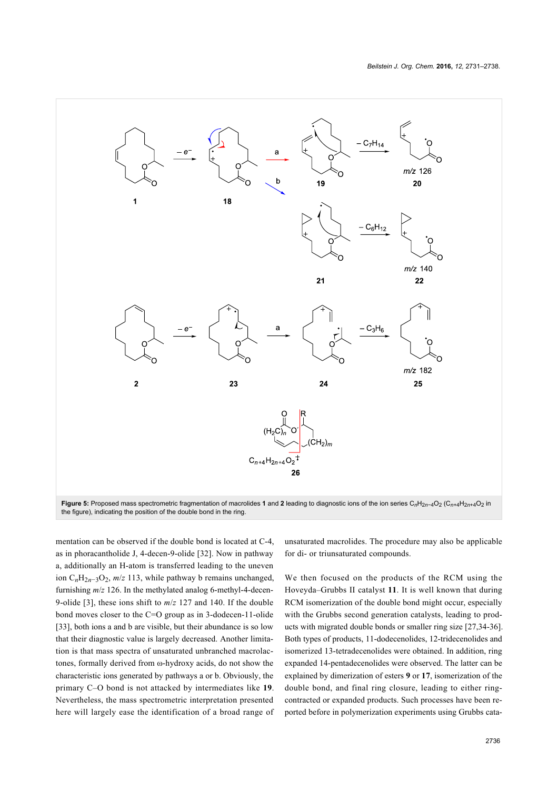<span id="page-5-0"></span>

the figure), indicating the position of the double bond in the ring.

mentation can be observed if the double bond is located at C-4, as in phoracantholide J, 4-decen-9-olide [\[32\].](#page-7-15) Now in pathway a, additionally an H-atom is transferred leading to the uneven ion C*n*H2*n*−3O<sup>2</sup> , *m*/*z* 113, while pathway b remains unchanged, furnishing *m*/*z* 126. In the methylated analog 6-methyl-4-decen-9-olide [\[3\],](#page-6-6) these ions shift to *m*/*z* 127 and 140. If the double bond moves closer to the C=O group as in 3-dodecen-11-olide [\[33\],](#page-7-16) both ions a and b are visible, but their abundance is so low that their diagnostic value is largely decreased. Another limitation is that mass spectra of unsaturated unbranched macrolactones, formally derived from ω-hydroxy acids, do not show the characteristic ions generated by pathways a or b. Obviously, the primary C–O bond is not attacked by intermediates like **19**. Nevertheless, the mass spectrometric interpretation presented here will largely ease the identification of a broad range of unsaturated macrolides. The procedure may also be applicable for di- or triunsaturated compounds.

We then focused on the products of the RCM using the Hoveyda–Grubbs II catalyst **11**. It is well known that during RCM isomerization of the double bond might occur, especially with the Grubbs second generation catalysts, leading to products with migrated double bonds or smaller ring size [\[27,34-36\]](#page-7-11). Both types of products, 11-dodecenolides, 12-tridecenolides and isomerized 13-tetradecenolides were obtained. In addition, ring expanded 14-pentadecenolides were observed. The latter can be explained by dimerization of esters **9** or **17**, isomerization of the double bond, and final ring closure, leading to either ringcontracted or expanded products. Such processes have been reported before in polymerization experiments using Grubbs cata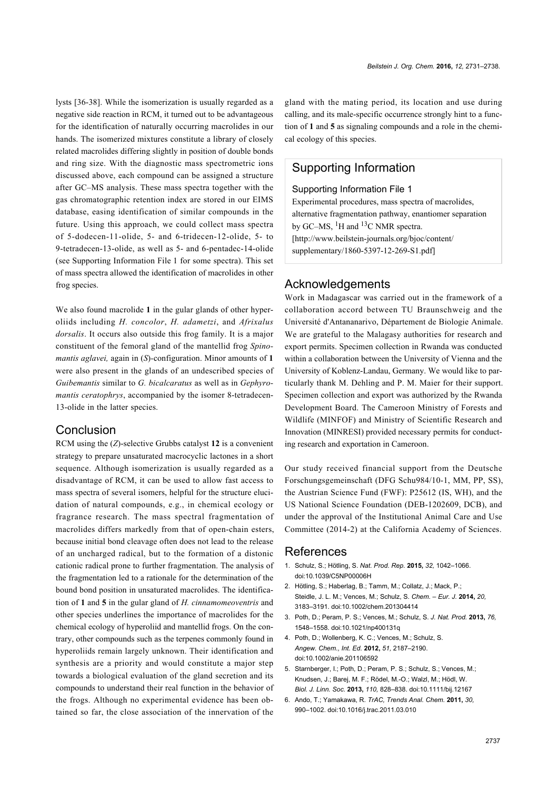lysts [\[36-38\].](#page-7-17) While the isomerization is usually regarded as a negative side reaction in RCM, it turned out to be advantageous for the identification of naturally occurring macrolides in our hands. The isomerized mixtures constitute a library of closely related macrolides differing slightly in position of double bonds and ring size. With the diagnostic mass spectrometric ions discussed above, each compound can be assigned a structure after GC–MS analysis. These mass spectra together with the gas chromatographic retention index are stored in our EIMS database, easing identification of similar compounds in the future. Using this approach, we could collect mass spectra of 5-dodecen-11-olide, 5- and 6-tridecen-12-olide, 5- to 9-tetradecen-13-olide, as well as 5- and 6-pentadec-14-olide (see [Supporting Information File 1](#page-6-5) for some spectra). This set of mass spectra allowed the identification of macrolides in other frog species.

We also found macrolide **1** in the gular glands of other hyperoliids including *H. concolor*, *H. adametzi*, and *Afrixalus dorsalis*. It occurs also outside this frog family. It is a major constituent of the femoral gland of the mantellid frog *Spinomantis aglavei,* again in (*S*)*-*configuration. Minor amounts of **1** were also present in the glands of an undescribed species of *Guibemantis* similar to *G. bicalcaratus* as well as in *Gephyromantis ceratophrys*, accompanied by the isomer 8-tetradecen-13-olide in the latter species.

#### **Conclusion**

RCM using the (*Z*)-selective Grubbs catalyst **12** is a convenient strategy to prepare unsaturated macrocyclic lactones in a short sequence. Although isomerization is usually regarded as a disadvantage of RCM, it can be used to allow fast access to mass spectra of several isomers, helpful for the structure elucidation of natural compounds, e.g., in chemical ecology or fragrance research. The mass spectral fragmentation of macrolides differs markedly from that of open-chain esters, because initial bond cleavage often does not lead to the release of an uncharged radical, but to the formation of a distonic cationic radical prone to further fragmentation. The analysis of the fragmentation led to a rationale for the determination of the bound bond position in unsaturated macrolides. The identification of **1** and **5** in the gular gland of *H. cinnamomeoventris* and other species underlines the importance of macrolides for the chemical ecology of hyperoliid and mantellid frogs. On the contrary, other compounds such as the terpenes commonly found in hyperoliids remain largely unknown. Their identification and synthesis are a priority and would constitute a major step towards a biological evaluation of the gland secretion and its compounds to understand their real function in the behavior of the frogs. Although no experimental evidence has been obtained so far, the close association of the innervation of the

gland with the mating period, its location and use during calling, and its male-specific occurrence strongly hint to a function of **1** and **5** as signaling compounds and a role in the chemical ecology of this species.

## Supporting Information

#### <span id="page-6-5"></span>Supporting Information File 1

Experimental procedures, mass spectra of macrolides, alternative fragmentation pathway, enantiomer separation by GC–MS, <sup>1</sup>H and <sup>13</sup>C NMR spectra. [\[http://www.beilstein-journals.org/bjoc/content/](http://www.beilstein-journals.org/bjoc/content/supplementary/1860-5397-12-269-S1.pdf) [supplementary/1860-5397-12-269-S1.pdf\]](http://www.beilstein-journals.org/bjoc/content/supplementary/1860-5397-12-269-S1.pdf)

# Acknowledgements

Work in Madagascar was carried out in the framework of a collaboration accord between TU Braunschweig and the Université d'Antananarivo, Département de Biologie Animale. We are grateful to the Malagasy authorities for research and export permits. Specimen collection in Rwanda was conducted within a collaboration between the University of Vienna and the University of Koblenz-Landau, Germany. We would like to particularly thank M. Dehling and P. M. Maier for their support. Specimen collection and export was authorized by the Rwanda Development Board. The Cameroon Ministry of Forests and Wildlife (MINFOF) and Ministry of Scientific Research and Innovation (MINRESI) provided necessary permits for conducting research and exportation in Cameroon.

Our study received financial support from the Deutsche Forschungsgemeinschaft (DFG Schu984/10-1, MM, PP, SS), the Austrian Science Fund (FWF): P25612 (IS, WH), and the US National Science Foundation (DEB-1202609, DCB), and under the approval of the Institutional Animal Care and Use Committee (2014-2) at the California Academy of Sciences.

#### References

- <span id="page-6-0"></span>1. Schulz, S.; Hötling, S. *Nat. Prod. Rep.* **2015,** *32,* 1042–1066. [doi:10.1039/C5NP00006H](https://doi.org/10.1039%2FC5NP00006H)
- <span id="page-6-1"></span>2. Hötling, S.; Haberlag, B.; Tamm, M.; Collatz, J.; Mack, P.; Steidle, J. L. M.; Vences, M.; Schulz, S. *Chem. – Eur. J.* **2014,** *20,* 3183–3191. [doi:10.1002/chem.201304414](https://doi.org/10.1002%2Fchem.201304414)
- <span id="page-6-6"></span>3. Poth, D.; Peram, P. S.; Vences, M.; Schulz, S. *J. Nat. Prod.* **2013,** *76,* 1548–1558. [doi:10.1021/np400131q](https://doi.org/10.1021%2Fnp400131q)
- <span id="page-6-4"></span>4. Poth, D.; Wollenberg, K. C.; Vences, M.; Schulz, S. *Angew. Chem., Int. Ed.* **2012,** *51,* 2187–2190. [doi:10.1002/anie.201106592](https://doi.org/10.1002%2Fanie.201106592)
- <span id="page-6-2"></span>5. Starnberger, I.; Poth, D.; Peram, P. S.; Schulz, S.; Vences, M.; Knudsen, J.; Barej, M. F.; Rödel, M.-O.; Walzl, M.; Hödl, W. *Biol. J. Linn. Soc.* **2013,** *110,* 828–838. [doi:10.1111/bij.12167](https://doi.org/10.1111%2Fbij.12167)
- <span id="page-6-3"></span>6. Ando, T.; Yamakawa, R. *TrAC, Trends Anal. Chem.* **2011,** *30,* 990–1002. [doi:10.1016/j.trac.2011.03.010](https://doi.org/10.1016%2Fj.trac.2011.03.010)